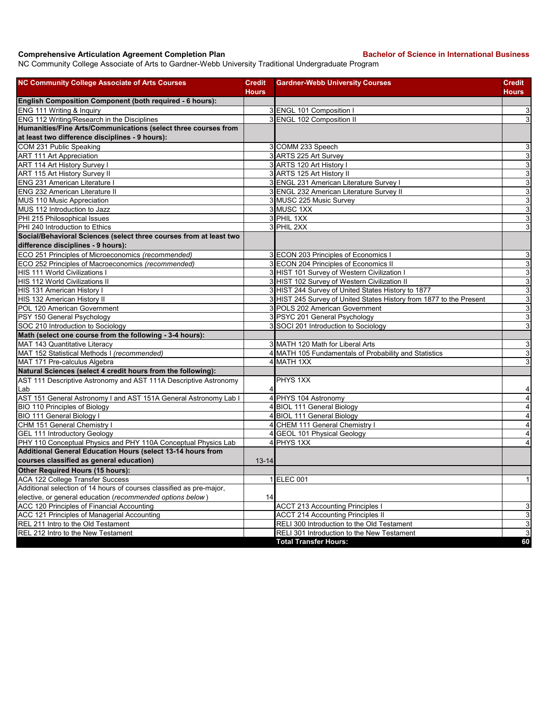## **Comprehensive Articulation Agreement Completion Plan Bachelor of Science in International Business**

NC Community College Associate of Arts to Gardner-Webb University Traditional Undergraduate Program

| <b>NC Community College Associate of Arts Courses</b>                | <b>Credit</b> | <b>Gardner-Webb University Courses</b>                              | <b>Credit</b>             |
|----------------------------------------------------------------------|---------------|---------------------------------------------------------------------|---------------------------|
|                                                                      | <b>Hours</b>  |                                                                     | <b>Hours</b>              |
| English Composition Component (both required - 6 hours):             |               |                                                                     |                           |
| ENG 111 Writing & Inquiry                                            |               | 3 ENGL 101 Composition                                              | 3                         |
| ENG 112 Writing/Research in the Disciplines                          |               | 3 ENGL 102 Composition II                                           | $\mathbf{3}$              |
| Humanities/Fine Arts/Communications (select three courses from       |               |                                                                     |                           |
| at least two difference disciplines - 9 hours):                      |               |                                                                     |                           |
| COM 231 Public Speaking                                              |               | 3 COMM 233 Speech                                                   | $\ensuremath{\mathsf{3}}$ |
| ART 111 Art Appreciation                                             |               | 3 ARTS 225 Art Survey                                               | $\ensuremath{\mathsf{3}}$ |
| ART 114 Art History Survey I                                         |               | 3 ARTS 120 Art History I                                            | $\overline{3}$            |
| ART 115 Art History Survey II                                        |               | 3 ARTS 125 Art History II                                           | $\overline{3}$            |
| <b>ENG 231 American Literature I</b>                                 |               | 3 ENGL 231 American Literature Survey I                             | ω                         |
| ENG 232 American Literature II                                       |               | 3 ENGL 232 American Literature Survey II                            | ω                         |
| MUS 110 Music Appreciation                                           |               | 3 MUSC 225 Music Survey                                             | $\ensuremath{\mathsf{3}}$ |
| MUS 112 Introduction to Jazz                                         |               | 3 MUSC 1XX                                                          | $\overline{3}$            |
| PHI 215 Philosophical Issues                                         |               | 3 PHIL 1XX                                                          | $\mathsf 3$               |
| PHI 240 Introduction to Ethics                                       |               | 3 PHIL 2XX                                                          | 3                         |
| Social/Behavioral Sciences (select three courses from at least two   |               |                                                                     |                           |
| difference disciplines - 9 hours):                                   |               |                                                                     |                           |
| ECO 251 Principles of Microeconomics (recommended)                   |               | 3 ECON 203 Principles of Economics I                                | 3                         |
| ECO 252 Principles of Macroeconomics (recommended)                   |               | 3 ECON 204 Principles of Economics II                               | $\mathbf{3}$              |
| HIS 111 World Civilizations I                                        |               | 3 HIST 101 Survey of Western Civilization I                         | ω                         |
| HIS 112 World Civilizations II                                       |               | 3 HIST 102 Survey of Western Civilization II                        | 3                         |
| HIS 131 American History I                                           |               | 3 HIST 244 Survey of United States History to 1877                  | $\mathbf{3}$              |
| HIS 132 American History II                                          |               | 3 HIST 245 Survey of United States History from 1877 to the Present | $\mathbf{3}$              |
| POL 120 American Government                                          |               | 3 POLS 202 American Government                                      | $\ensuremath{\mathsf{3}}$ |
| PSY 150 General Psychology                                           |               | 3 PSYC 201 General Psychology                                       | $\mathsf 3$               |
| SOC 210 Introduction to Sociology                                    |               | 3 SOCI 201 Introduction to Sociology                                | 3                         |
| Math (select one course from the following - 3-4 hours):             |               |                                                                     |                           |
| MAT 143 Quantitative Literacy                                        |               | 3 MATH 120 Math for Liberal Arts                                    | 3                         |
| MAT 152 Statistical Methods I (recommended)                          |               | 4 MATH 105 Fundamentals of Probability and Statistics               | $\ensuremath{\mathsf{3}}$ |
| MAT 171 Pre-calculus Algebra                                         |               | 4 MATH 1XX                                                          | 3                         |
| Natural Sciences (select 4 credit hours from the following):         |               |                                                                     |                           |
| AST 111 Descriptive Astronomy and AST 111A Descriptive Astronomy     |               | PHYS 1XX                                                            |                           |
| Lab                                                                  |               |                                                                     | 4                         |
| AST 151 General Astronomy I and AST 151A General Astronomy Lab I     |               | 4 PHYS 104 Astronomy                                                | $\overline{\mathbf{A}}$   |
| BIO 110 Principles of Biology                                        |               | 4 BIOL 111 General Biology                                          | $\overline{\mathbf{4}}$   |
| <b>BIO 111 General Biology I</b>                                     |               | 4 BIOL 111 General Biology                                          | $\overline{4}$            |
| CHM 151 General Chemistry I                                          |               | 4 CHEM 111 General Chemistry I                                      | $\overline{\mathbf{4}}$   |
| <b>GEL 111 Introductory Geology</b>                                  |               | 4 GEOL 101 Physical Geology                                         | 4                         |
| PHY 110 Conceptual Physics and PHY 110A Conceptual Physics Lab       |               | 4 PHYS 1XX                                                          | $\overline{4}$            |
| Additional General Education Hours (select 13-14 hours from          |               |                                                                     |                           |
| courses classified as general education)                             | $13 - 14$     |                                                                     |                           |
| Other Required Hours (15 hours):                                     |               |                                                                     |                           |
| ACA 122 College Transfer Success                                     |               | 1 ELEC 001                                                          | $\mathbf{1}$              |
| Additional selection of 14 hours of courses classified as pre-major, |               |                                                                     |                           |
| elective, or general education (recommended options below)           | 14            |                                                                     |                           |
| ACC 120 Principles of Financial Accounting                           |               | <b>ACCT 213 Accounting Principles I</b>                             | $\mathbf{3}$              |
| ACC 121 Principles of Managerial Accounting                          |               | <b>ACCT 214 Accounting Principles II</b>                            | ω                         |
| REL 211 Intro to the Old Testament                                   |               | RELI 300 Introduction to the Old Testament                          | $\mathbf{3}$              |
| REL 212 Intro to the New Testament                                   |               | RELI 301 Introduction to the New Testament                          | $\overline{3}$            |
|                                                                      |               | <b>Total Transfer Hours:</b>                                        | 60                        |